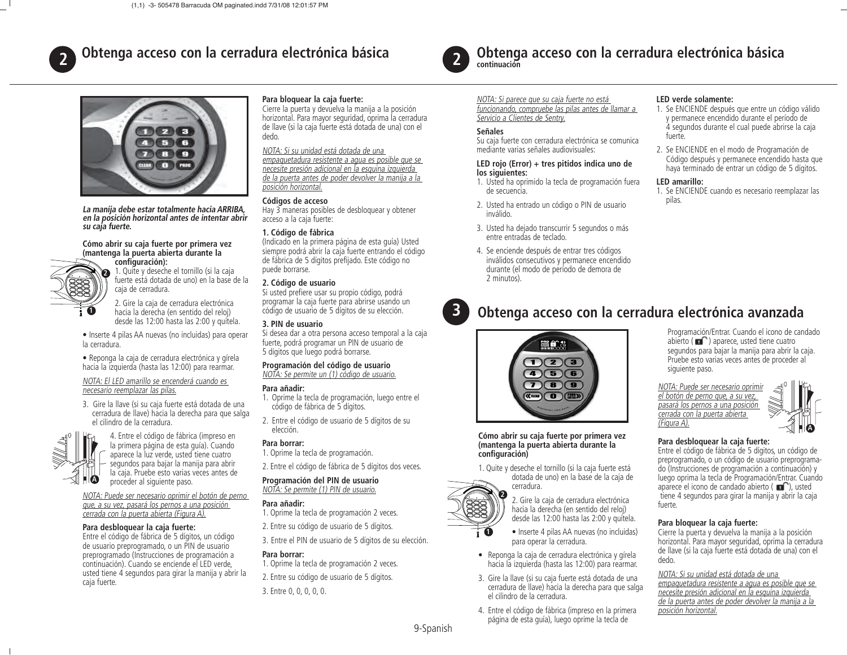

# **Obtenga acceso con la cerradura electrónica básica**



**La manija debe estar totalmente hacia ARRIBA, en la posición horizontal antes de intentar abrir su caja fuerte.**

#### **Cómo abrir su caja fuerte por primera vez (mantenga la puerta abierta durante la**

configuración): **2**

**1**

1. Quite y deseche el tornillo (si la caja fuerte está dotada de uno) en la base de la caja de cerradura.

2. Gire la caja de cerradura electrónica hacia la derecha (en sentido del reloj) desde las 12:00 hasta las 2:00 y quítela.

- Inserte 4 pilas AA nuevas (no incluidas) para operar la cerradura.
- Reponga la caja de cerradura electrónica y gírela hacia la izquierda (hasta las 12:00) para rearmar.

#### NOTA: El LED amarillo se encenderá cuando es necesario reemplazar las pilas.

3. Gire la llave (si su caja fuerte está dotada de una cerradura de llave) hacia la derecha para que salga el cilindro de la cerradura.



4. Entre el código de fábrica (impreso en la primera página de esta guía). Cuando aparece la luz verde, usted tiene cuatro segundos para bajar la manija para abrir la caja. Pruebe esto varias veces antes de proceder al siguiente paso.

NOTA: Puede ser necesario oprimir el botón de perno que, a su vez, pasará los pernos a una posición cerrada con la puerta abierta (Figura A).

#### **Para desbloquear la caja fuerte:**

Entre el código de fábrica de 5 dígitos, un código de usuario preprogramado, o un PIN de usuario preprogramado (Instrucciones de programación a continuación). Cuando se enciende el LED verde, usted tiene 4 segundos para girar la manija y abrir la caja fuerte.

# **Para bloquear la caja fuerte:**

Cierre la puerta y devuelva la manija a la posición horizontal. Para mayor seguridad, oprima la cerradura de llave (si la caja fuerte está dotada de una) con el dedo.

# NOTA: Si su unidad está dotada de una

 empaquetadura resistente a agua es posible que se necesite presión adicional en la esquina izquierda de la puerta antes de poder devolver la manija a la posición horizontal.

# **Códigos de acceso**

Hay 3 maneras posibles de desbloquear y obtener acceso a la caja fuerte:

## **1. Código de fábrica**

(Indicado en la primera página de esta guía) Usted siempre podrá abrir la caja fuerte entrando el código de fábrica de 5 dígitos prefijado. Este código no puede borrarse.

## **2. Código de usuario**

Si usted prefiere usar su propio código, podrá programar la caja fuerte para abrirse usando un código de usuario de 5 dígitos de su elección.

#### **3. PIN de usuario**

 Si desea dar a otra persona acceso temporal a la caja fuerte, podrá programar un PIN de usuario de 5 dígitos que luego podrá borrarse.

#### **Programación del código de usuario** NOTA: Se permite un (1) código de usuario.

#### **Para añadir:**

1. Oprime la tecla de programación, luego entre el código de fábrica de 5 dígitos.

2. Entre el código de usuario de 5 dígitos de su elección.

#### **Para borrar:**

1. Oprime la tecla de programación.

2. Entre el código de fábrica de 5 dígitos dos veces.

#### **Programación del PIN de usuario** NOTA: Se permite (1) PIN de usuario.

#### **Para añadir:**

- 1. Oprime la tecla de programación 2 veces.
- 2. Entre su código de usuario de 5 dígitos.
- 3. Entre el PIN de usuario de 5 dígitos de su elección.

# **Para borrar:**

1. Oprime la tecla de programación 2 veces. 2. Entre su código de usuario de 5 dígitos.

3. Entre 0, 0, 0, 0, 0.



**3**

# **Obtenga acceso con la cerradura electrónica básica continuación**

NOTA: Si parece que su caja fuerte no está funcionando, compruebe las pilas antes de llamar a Servicio a Clientes de Sentry.

## **Señales**

Su caja fuerte con cerradura electrónica se comunica mediante varias señales audiovisuales:

#### **LED rojo (Error) + tres pitidos indica uno de los siguientes:**

- 1. Usted ha oprimido la tecla de programación fuera de secuencia.
- 2. Usted ha entrado un código o PIN de usuario inválido.
- 3. Usted ha dejado transcurrir 5 segundos o más entre entradas de teclado.
- 4. Se enciende después de entrar tres códigos inválidos consecutivos y permanece encendido durante (el modo de período de demora de 2 minutos).

#### **LED verde solamente:**

- 1. Se ENCIENDE después que entre un código válido y permanece encendido durante el período de 4 segundos durante el cual puede abrirse la caja fuerte.
- 2. Se ENCIENDE en el modo de Programación de Código después y permanece encendido hasta que haya terminado de entrar un código de 5 dígitos.

#### **LED amarillo:**

 1. Se ENCIENDE cuando es necesario reemplazar las pilas.

# **Obtenga acceso con la cerradura electrónica avanzada**



**Cómo abrir su caja fuerte por primera vez (mantenga la puerta abierta durante la**  configuración)

cerradura.

1. Quite y deseche el tornillo (si la caja fuerte está dotada de uno) en la base de la caja de





- Inserte 4 pilas AA nuevas (no incluidas) para operar la cerradura.
- Reponga la caja de cerradura electrónica y gírela hacia la izquierda (hasta las 12:00) para rearmar.
- 3. Gire la llave (si su caja fuerte está dotada de una cerradura de llave) hacia la derecha para que salga el cilindro de la cerradura.
- 4. Entre el código de fábrica (impreso en la primera página de esta guía), luego oprime la tecla de

Programación/Entrar. Cuando el icono de candado abierto ( $\blacksquare$ ) aparece, usted tiene cuatro segundos para bajar la manija para abrir la caja. Pruebe esto varias veces antes de proceder al siguiente paso.

NOTA: Puede ser necesario oprimir el botón de perno que, a su vez, pasará los pernos a una posición cerrada con la puerta abierta (Figura A).



# **Para desbloquear la caja fuerte:**

Entre el código de fábrica de 5 dígitos, un código de preprogramado, o un código de usuario preprogramado (Instrucciones de programación a continuación) y luego oprima la tecla de Programación/Entrar. Cuando aparece el icono de candado abierto  $(\blacksquare)$ , usted tiene 4 segundos para girar la manija y abrir la caja fuerte.

# **Para bloquear la caja fuerte:**

Cierre la puerta y devuelva la manija a la posición horizontal. Para mayor seguridad, oprima la cerradura de llave (si la caja fuerte está dotada de una) con el dedo.

## NOTA: Si su unidad está dotada de una

empaquetadura resistente a agua es posible que se necesite presión adicional en la esquina izquierda de la puerta antes de poder devolver la manija a la posición horizontal.

9-Spanish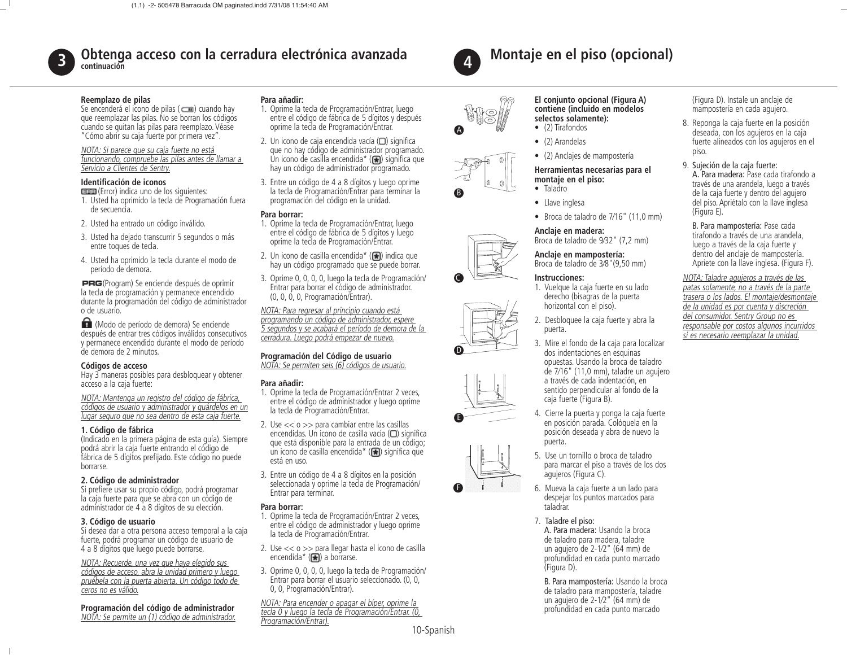

# **Obtenga acceso con la cerradura electrónica avanzada continuación**

#### **Reemplazo de pilas**

Se encenderá el icono de pilas ( $\Box$ ) cuando hay que reemplazar las pilas. No se borran los códigos cuando se quitan las pilas para reemplazo. Véase "Cómo abrir su caja fuerte por primera vez".

#### NOTA: Si parece que su caja fuerte no está funcionando, compruebe las pilas antes de llamar a Servicio a Clientes de Sentry.

#### **Identifi cación de iconos**

- (Error) indica uno de los siguientes: 1. Usted ha oprimido la tecla de Programación fuera de secuencia.
- 2. Usted ha entrado un código inválido.
- 3. Usted ha dejado transcurrir 5 segundos o más entre toques de tecla.
- 4. Usted ha oprimido la tecla durante el modo de período de demora.

(Program) Se enciende después de oprimir la tecla de programación y permanece encendido durante la programación del código de administrador <sup>o</sup> de usuario.

 (Modo de período de demora) Se enciende después de entrar tres códigos inválidos consecutivos y permanece encendido durante el modo de período de demora de 2 minutos.

# **Códigos de acceso**

Hay 3 maneras posibles para desbloquear y obtener acceso a la caja fuerte:

NOTA: Mantenga un registro del código de fábrica, códigos de usuario y administrador y guárdelos en un lugar seguro que no sea dentro de esta caja fuerte.

# **1. Código de fábrica**

(Indicado en la primera página de esta guía). Siempre podrá abrir la caja fuerte entrando el código de fábrica de 5 dígitos prefijado. Este código no puede borrarse.

# **2. Código de administrador**

Si prefiere usar su propio código, podrá programar la caja fuerte para que se abra con un código de administrador de 4 a 8 dígitos de su elección.

# **3. Código de usuario**

Si desea dar a otra persona acceso temporal a la caja fuerte, podrá programar un código de usuario de 4 a 8 dígitos que luego puede borrarse.

# NOTA: Recuerde, una vez que haya elegido sus

códigos de acceso, abra la unidad primero y luego pruébela con la puerta abierta. Un código todo de ceros no es válido.

**Programación del código de administrador**  NOTA: Se permite un (1) código de administrador.

# **Para añadir:**

- 1. Oprime la tecla de Programación/Entrar, luego entre el código de fábrica de 5 dígitos y después oprime la tecla de Programación/Entrar.
- 2. Un icono de caja encendida vacía  $\Box$ ) significa que no hay código de administrador programado. Un icono de casilla encendida\* ( $\bigoplus$ ) significa que hay un código de administrador programado.
- 3. Entre un código de 4 a 8 dígitos y luego oprime la tecla de Programación/Entrar para terminar la programación del código en la unidad.

# **Para borrar:**

- 1. Oprime la tecla de Programación/Entrar, luego entre el código de fábrica de 5 dígitos y luego oprime la tecla de Programación/Entrar.
- 2. Un icono de casilla encendida\*  $(\blacksquare)$  indica que hay un código programado que se puede borrar.
- 3. Oprime 0, 0, 0, 0, luego la tecla de Programación/ Entrar para borrar el código de administrador. (0, 0, 0, 0, Programación/Entrar).

NOTA: Para regresar al principio cuando está programando un código de administrador, espere 5 segundos y se acabará el período de demora de la cerradura. Luego podrá empezar de nuevo.

# **Programación del Código de usuario**

NOTA: Se permiten seis (6) códigos de usuario.

# **Para añadir:**

- 1. Oprime la tecla de Programación/Entrar 2 veces, entre el código de administrador y luego oprime la tecla de Programación/Entrar.
- o más<br>
entre el código de fábrica de 5 dígitos y luego<br>
opime la teda de Programación/Entrar.<br>
nodo de la vino código programado que se puede borrar.<br>
opimir a lo vino de casilla encendra \* (**C**<sub>B</sub>) indica que<br>
encidid 1. Oprime la tecla de Programación/Entrar, luego<br>
entre el código de fábrica de 5 digitos y luego<br>
o más<br>
en el código de fábrica de Spiditos y luego<br>
hodo de<br>
2. Un icono de casilla encendida\* (G) indica que<br>
hay un códi **Para borrar:**<br>
a bornar: de la ele Programación/Entrar, luego<br>
entre el cidigo de fábrica de 5 dígitos y luego<br>
entre el cidigo de fábrica de 5 dígitos y luego<br>
2. Un icono de casilla encendida <sup>\*</sup> (**CB**) inclica que<br>
ha 2. Use << o >> para cambiar entre las casillas encendidas. Un icono de casilla vacía  $\Box$ ) significa que está disponible para la entrada de un código; un icono de casilla encendida\* ( $\blacktriangleright$ ) significa que está en uso.
	- 3. Entre un código de 4 a 8 dígitos en la posición seleccionada y oprime la tecla de Programación/ Entrar para terminar.

# **Para borrar:**

- 1. Oprime la tecla de Programación/Entrar 2 veces, entre el código de administrador y luego oprime la tecla de Programación/Entrar.
- 2. Use << o >> para llegar hasta el icono de casilla encendida\*  $(\mathbf{F})$  a borrarse.
- France decionada y oprime la tecla de Programación/<br>
Entrar para terminar.<br>
digo de<br>
Entrar para terminar.<br>
1. Oprime la tecla de Programación/Entrar 2 veces,<br>
oral a la caja<br>
entre el código de administrador y luego opri 3. Oprime 0, 0, 0, 0, luego la tecla de Programación/ Entrar para borrar el usuario seleccionado. (0, 0, 0, 0, Programación/Entrar).

10-Spanish NOTA: Para encender o apagar el bíper, oprime la tecla 0 y luego la tecla de Programación/Entrar. (0, Programación/Entrar).



B

C

D

F

A

# **Montaje en el piso (opcional)**

# **El conjunto opcional (Figura A) contiene (incluido en modelos selectos solamente):**

- (2) Tirafondos
- (2) Arandelas
- (2) Anclajes de mampostería

#### **Herramientas necesarias para el montaje en el piso:**  • Taladro

- Llave inglesa
- Broca de taladro de 7⁄16" (11,0 mm)

**Anclaje en madera:** Broca de taladro de 9⁄32" (7,2 mm)

**Anclaje en mampostería:**  Broca de taladro de 3⁄8"(9,50 mm)

# **Instrucciones:**

- 1. Vuelque la caja fuerte en su lado derecho (bisagras de la puerta horizontal con el piso).
- 2. Desbloquee la caja fuerte y abra la puerta.
- 3. Mire el fondo de la caja para localizar dos indentaciones en esquinas opuestas. Usando la broca de taladro de 7⁄16" (11,0 mm), taladre un agujero a través de cada indentación, en sentido perpendicular al fondo de la caja fuerte (Figura B). • Bree meader and the 1716" (11,0 mm)<br>
Anciaje en madera:<br>
Roca de taladro de 7/16" (11,0 mm)<br>
Anciaje en madera:<br>
Roca de taladro de 922" (7,2 mm)<br>
Anciaje en mampostería:<br>
Bree de mampostería:<br>
Intervections con design So the four and the frequencies of the state and the state of the state of the state of the state of the state of the state of the state of the state of the state of the state of the state of the state of the state of the Anclaje en madera:<br>
Broca de taladro de 932" (7,2 mm)<br>
luego a travé<br>
duego a travé<br>
Stroca de taladro de 32" (9,50 mm)<br>
Instrucciones:<br>
Instrucciones:<br>
Instrucciones:<br>
Instrucciones:<br>
Luegla caja fuerte en su lado<br>
de la **Example and the constraints** of the phase of the constraints of the constraints of the constraints of the constraints of the constraints of the constraints of the constraints of the constraints of the constraints of the **For both control of the control of the set of the set of the set of the set of the set of the set of the set of the set of the set of the set of the set of the set of the set of the set of the set of the set of the set o** • Llave inglesa<br>
• Broca de taladro de 7/16" (11,0 mm)<br>
• Broca de taladro de 7/16" (11,0 mm)<br>
• Broca de taladro de 9/32" (7,2 mm)<br>
• Broca de taladro de 9/32" (7,2 mm)<br>
• Luego a través de la caja fuera en **sur alitar d** 
	- 4. Cierre la puerta y ponga la caja fuerte en posición parada. Colóquela en la posición deseada y abra de nuevo la puerta.
	- 5. Use un tornillo o broca de taladro para marcar el piso a través de los dos agujeros (Figura C).
	- 6. Mueva la caja fuerte a un lado para despejar los puntos marcados para taladrar.
	- 7. Taladre el piso:

A. Para madera: Usando la broca de taladro para madera, taladre un agujero de 2-1⁄2" (64 mm) de profundidad en cada punto marcado (Figura D).

 B. Para mampostería: Usando la broca de taladro para mampostería, taladre un agujero de 2-1⁄2" (64 mm) de profundidad en cada punto marcado

(Figura D). Instale un anclaje de mampostería en cada agujero.

- 8. Reponga la caja fuerte en la posición deseada, con los agujeros en la caja fuerte alineados con los agujeros en el piso.
- 9. Sujeción de la caja fuerte: A. Para madera: Pase cada tirafondo através de una arandela, luego a través de la caja fuerte y dentro del agujero del piso. Apriétalo con la llave inglesa (Figura E).

B. Para mampostería: Pase cada tirafondo a través de una arandela, luego a través de la caja fuerte y dentro del anclaje de mampostería. Apriete con la llave inglesa. (Figura F).

NOTA: Taladre agujeros a través de las patas solamente, no a través de la parte trasera o los lados. El montaje/desmontaje de la unidad es por cuenta y discreción del consumidor. Sentry Group no es responsable por costos algunos incurridos si es necesario reemplazar la unidad.